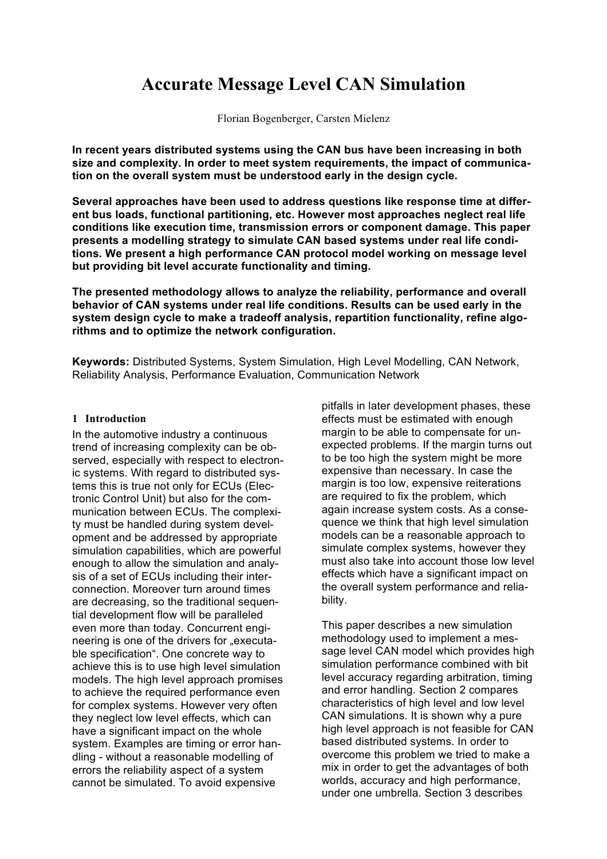# **Accurate Message Level CAN Simulation**

Florian Bogenberger, Carsten Mielenz

**In recent years distributed systems using the CAN bus have been increasing in both size and complexity. In order to meet system requirements, the impact of communication on the overall system must be understood early in the design cycle.**

**Several approaches have been used to address questions like response time at different bus loads, functional partitioning, etc. However most approaches neglect real life conditions like execution time, transmission errors or component damage. This paper presents a modelling strategy to simulate CAN based systems under real life conditions. We present a high performance CAN protocol model working on message level but providing bit level accurate functionality and timing.**

**The presented methodology allows to analyze the reliability, performance and overall behavior of CAN systems under real life conditions. Results can be used early in the system design cycle to make a tradeoff analysis, repartition functionality, refine algorithms and to optimize the network configuration.**

**Keywords:** Distributed Systems, System Simulation, High Level Modelling, CAN Network, Reliability Analysis, Performance Evaluation, Communication Network

#### **1 Introduction**

In the automotive industry a continuous trend of increasing complexity can be observed, especially with respect to electronic systems. With regard to distributed systems this is true not only for ECUs (Electronic Control Unit) but also for the communication between ECUs. The complexity must be handled during system development and be addressed by appropriate simulation capabilities, which are powerful enough to allow the simulation and analysis of a set of ECUs including their interconnection. Moreover turn around times are decreasing, so the traditional sequential development flow will be paralleled even more than today. Concurrent engineering is one of the drivers for "executable specification". One concrete way to achieve this is to use high level simulation models. The high level approach promises to achieve the required performance even for complex systems. However very often they neglect low level effects, which can have a significant impact on the whole system. Examples are timing or error handling - without a reasonable modelling of errors the reliability aspect of a system cannot be simulated. To avoid expensive

pitfalls in later development phases, these effects must be estimated with enough margin to be able to compensate for unexpected problems. If the margin turns out to be too high the system might be more expensive than necessary. In case the margin is too low, expensive reiterations are required to fix the problem, which again increase system costs. As a consequence we think that high level simulation models can be a reasonable approach to simulate complex systems, however they must also take into account those low level effects which have a significant impact on the overall system performance and reliability.

This paper describes a new simulation methodology used to implement a message level CAN model which provides high simulation performance combined with bit level accuracy regarding arbitration, timing and error handling. Section 2 compares characteristics of high level and low level CAN simulations. It is shown why a pure high level approach is not feasible for CAN based distributed systems. In order to overcome this problem we tried to make a mix in order to get the advantages of both worlds, accuracy and high performance, under one umbrella. Section 3 describes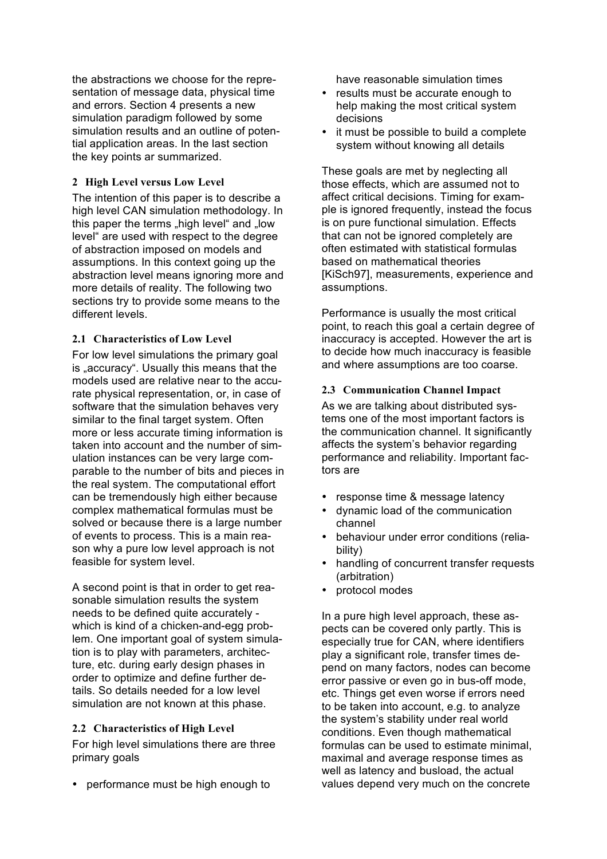the abstractions we choose for the representation of message data, physical time and errors. Section 4 presents a new simulation paradigm followed by some simulation results and an outline of potential application areas. In the last section the key points ar summarized.

#### **2 High Level versus Low Level**

The intention of this paper is to describe a high level CAN simulation methodology. In this paper the terms "high level" and "low level" are used with respect to the degree of abstraction imposed on models and assumptions. In this context going up the abstraction level means ignoring more and more details of reality. The following two sections try to provide some means to the different levels.

### **2.1 Characteristics of Low Level**

For low level simulations the primary goal is "accuracy". Usually this means that the models used are relative near to the accurate physical representation, or, in case of software that the simulation behaves very similar to the final target system. Often more or less accurate timing information is taken into account and the number of simulation instances can be very large comparable to the number of bits and pieces in the real system. The computational effort can be tremendously high either because complex mathematical formulas must be solved or because there is a large number of events to process. This is a main reason why a pure low level approach is not feasible for system level.

A second point is that in order to get reasonable simulation results the system needs to be defined quite accurately which is kind of a chicken-and-egg problem. One important goal of system simulation is to play with parameters, architecture, etc. during early design phases in order to optimize and define further details. So details needed for a low level simulation are not known at this phase.

#### **2.2 Characteristics of High Level**

For high level simulations there are three primary goals

• performance must be high enough to

have reasonable simulation times

- results must be accurate enough to help making the most critical system decisions
- it must be possible to build a complete system without knowing all details

These goals are met by neglecting all those effects, which are assumed not to affect critical decisions. Timing for example is ignored frequently, instead the focus is on pure functional simulation. Effects that can not be ignored completely are often estimated with statistical formulas based on mathematical theories [KiSch97], measurements, experience and assumptions.

Performance is usually the most critical point, to reach this goal a certain degree of inaccuracy is accepted. However the art is to decide how much inaccuracy is feasible and where assumptions are too coarse.

#### **2.3 Communication Channel Impact**

As we are talking about distributed systems one of the most important factors is the communication channel. It significantly affects the system's behavior regarding performance and reliability. Important factors are

- response time & message latency
- dynamic load of the communication channel
- behaviour under error conditions (reliability)
- handling of concurrent transfer requests (arbitration)
- protocol modes

In a pure high level approach, these aspects can be covered only partly. This is especially true for CAN, where identifiers play a significant role, transfer times depend on many factors, nodes can become error passive or even go in bus-off mode, etc. Things get even worse if errors need to be taken into account, e.g. to analyze the system's stability under real world conditions. Even though mathematical formulas can be used to estimate minimal, maximal and average response times as well as latency and busload, the actual values depend very much on the concrete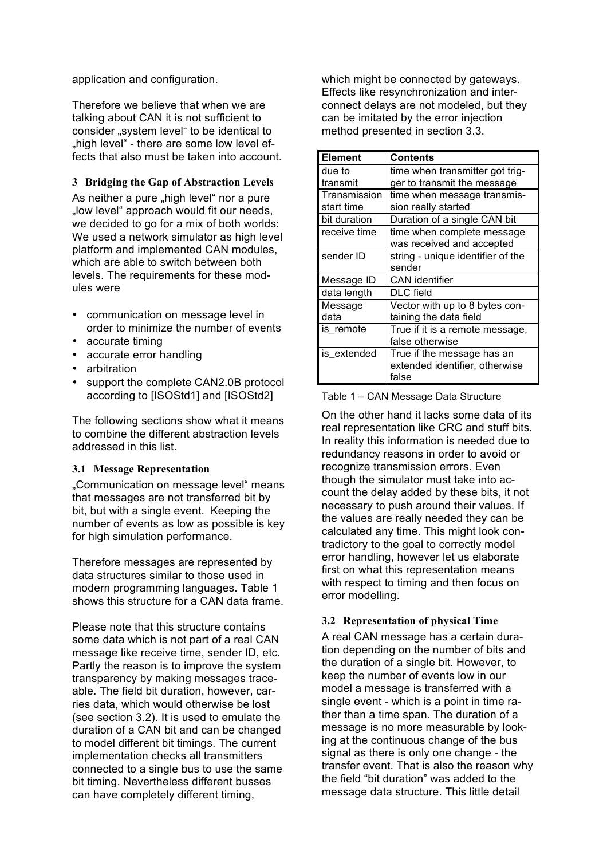application and configuration.

Therefore we believe that when we are talking about CAN it is not sufficient to consider "system level" to be identical to "high level" - there are some low level effects that also must be taken into account.

### **3 Bridging the Gap of Abstraction Levels**

As neither a pure ..high level" nor a pure "low level" approach would fit our needs. we decided to go for a mix of both worlds: We used a network simulator as high level platform and implemented CAN modules, which are able to switch between both levels. The requirements for these modules were

- communication on message level in order to minimize the number of events
- accurate timing
- accurate error handling
- arbitration
- support the complete CAN2.0B protocol according to [ISOStd1] and [ISOStd2]

The following sections show what it means to combine the different abstraction levels addressed in this list.

#### **3.1 Message Representation**

"Communication on message level" means that messages are not transferred bit by bit, but with a single event. Keeping the number of events as low as possible is key for high simulation performance.

Therefore messages are represented by data structures similar to those used in modern programming languages. Table 1 shows this structure for a CAN data frame.

Please note that this structure contains some data which is not part of a real CAN message like receive time, sender ID, etc. Partly the reason is to improve the system transparency by making messages traceable. The field bit duration, however, carries data, which would otherwise be lost (see section 3.2). It is used to emulate the duration of a CAN bit and can be changed to model different bit timings. The current implementation checks all transmitters connected to a single bus to use the same bit timing. Nevertheless different busses can have completely different timing,

which might be connected by gateways. Effects like resynchronization and interconnect delays are not modeled, but they can be imitated by the error injection method presented in section 3.3.

| <b>Element</b> | <b>Contents</b>                   |
|----------------|-----------------------------------|
| due to         | time when transmitter got trig-   |
| transmit       | ger to transmit the message       |
| Transmission   | time when message transmis-       |
| start time     | sion really started               |
| bit duration   | Duration of a single CAN bit      |
| receive time   | time when complete message        |
|                | was received and accepted         |
| sender ID      | string - unique identifier of the |
|                | sender                            |
| Message ID     | <b>CAN</b> identifier             |
| data length    | DLC field                         |
| Message        | Vector with up to 8 bytes con-    |
| data           | taining the data field            |
| is_remote      | True if it is a remote message,   |
|                | false otherwise                   |
| is extended    | True if the message has an        |
|                | extended identifier, otherwise    |
|                | false                             |

Table 1 – CAN Message Data Structure

On the other hand it lacks some data of its real representation like CRC and stuff bits. In reality this information is needed due to redundancy reasons in order to avoid or recognize transmission errors. Even though the simulator must take into account the delay added by these bits, it not necessary to push around their values. If the values are really needed they can be calculated any time. This might look contradictory to the goal to correctly model error handling, however let us elaborate first on what this representation means with respect to timing and then focus on error modelling.

# **3.2 Representation of physical Time**

A real CAN message has a certain duration depending on the number of bits and the duration of a single bit. However, to keep the number of events low in our model a message is transferred with a single event - which is a point in time rather than a time span. The duration of a message is no more measurable by looking at the continuous change of the bus signal as there is only one change - the transfer event. That is also the reason why the field "bit duration" was added to the message data structure. This little detail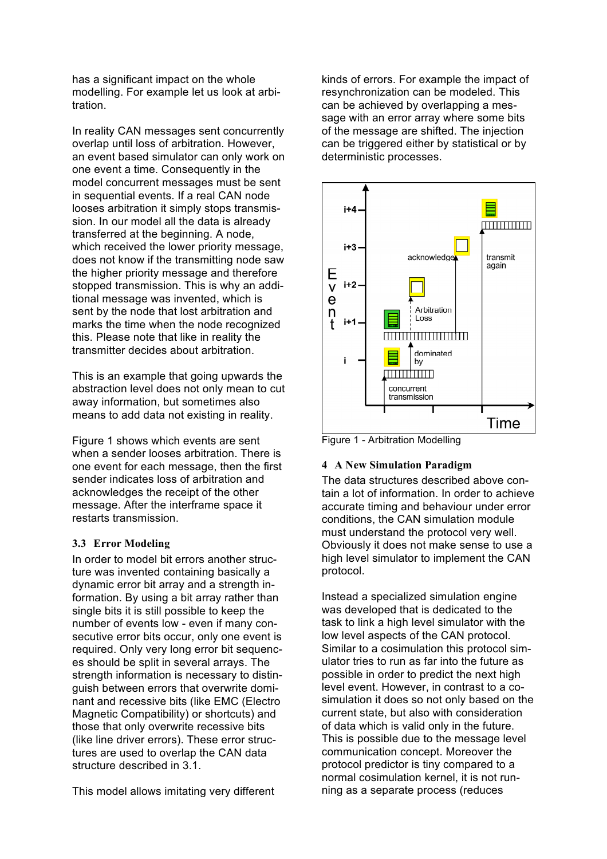has a significant impact on the whole modelling. For example let us look at arbitration.

In reality CAN messages sent concurrently overlap until loss of arbitration. However, an event based simulator can only work on one event a time. Consequently in the model concurrent messages must be sent in sequential events. If a real CAN node looses arbitration it simply stops transmission. In our model all the data is already transferred at the beginning. A node, which received the lower priority message, does not know if the transmitting node saw the higher priority message and therefore stopped transmission. This is why an additional message was invented, which is sent by the node that lost arbitration and marks the time when the node recognized this. Please note that like in reality the transmitter decides about arbitration.

This is an example that going upwards the abstraction level does not only mean to cut away information, but sometimes also means to add data not existing in reality.

Figure 1 shows which events are sent when a sender looses arbitration. There is one event for each message, then the first sender indicates loss of arbitration and acknowledges the receipt of the other message. After the interframe space it restarts transmission.

# **3.3 Error Modeling**

In order to model bit errors another structure was invented containing basically a dynamic error bit array and a strength information. By using a bit array rather than single bits it is still possible to keep the number of events low - even if many consecutive error bits occur, only one event is required. Only very long error bit sequences should be split in several arrays. The strength information is necessary to distinguish between errors that overwrite dominant and recessive bits (like EMC (Electro Magnetic Compatibility) or shortcuts) and those that only overwrite recessive bits (like line driver errors). These error structures are used to overlap the CAN data structure described in 3.1.

This model allows imitating very different

kinds of errors. For example the impact of resynchronization can be modeled. This can be achieved by overlapping a message with an error array where some bits of the message are shifted. The injection can be triggered either by statistical or by deterministic processes.



Figure 1 - Arbitration Modelling

# **4 A New Simulation Paradigm**

The data structures described above contain a lot of information. In order to achieve accurate timing and behaviour under error conditions, the CAN simulation module must understand the protocol very well. Obviously it does not make sense to use a high level simulator to implement the CAN protocol.

Instead a specialized simulation engine was developed that is dedicated to the task to link a high level simulator with the low level aspects of the CAN protocol. Similar to a cosimulation this protocol simulator tries to run as far into the future as possible in order to predict the next high level event. However, in contrast to a cosimulation it does so not only based on the current state, but also with consideration of data which is valid only in the future. This is possible due to the message level communication concept. Moreover the protocol predictor is tiny compared to a normal cosimulation kernel, it is not running as a separate process (reduces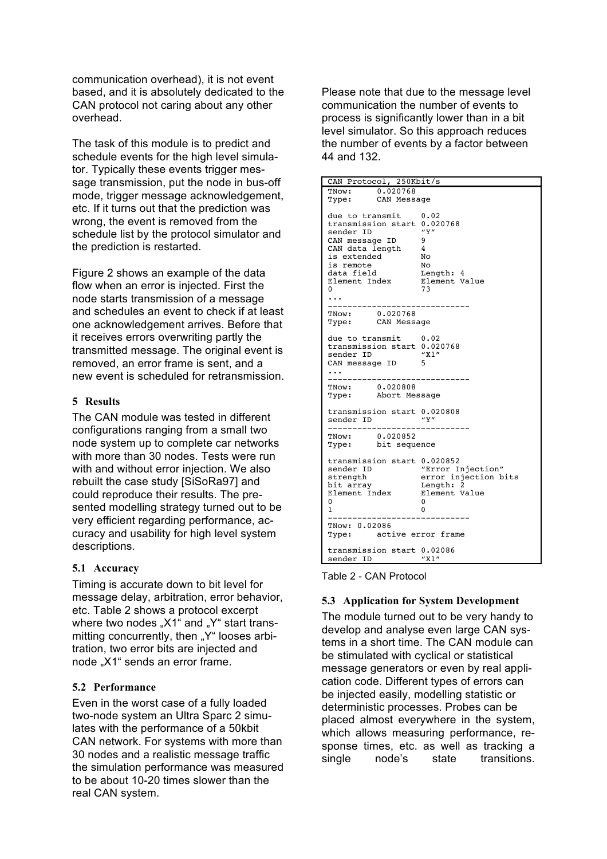communication overhead), it is not event based, and it is absolutely dedicated to the CAN protocol not caring about any other overhead.

The task of this module is to predict and schedule events for the high level simulator. Typically these events trigger message transmission, put the node in bus-off mode, trigger message acknowledgement, etc. If it turns out that the prediction was wrong, the event is removed from the schedule list by the protocol simulator and the prediction is restarted.

Figure 2 shows an example of the data flow when an error is injected. First the node starts transmission of a message and schedules an event to check if at least one acknowledgement arrives. Before that it receives errors overwriting partly the transmitted message. The original event is removed, an error frame is sent, and a new event is scheduled for retransmission.

### **5 Results**

The CAN module was tested in different configurations ranging from a small two node system up to complete car networks with more than 30 nodes. Tests were run with and without error injection. We also rebuilt the case study [SiSoRa97] and could reproduce their results. The presented modelling strategy turned out to be very efficient regarding performance, accuracy and usability for high level system descriptions.

# **5.1 Accuracy**

Timing is accurate down to bit level for message delay, arbitration, error behavior, etc. Table 2 shows a protocol excerpt where two nodes "X1" and "Y" start transmitting concurrently, then "Y" looses arbitration, two error bits are injected and node "X1" sends an error frame.

# **5.2 Performance**

Even in the worst case of a fully loaded two-node system an Ultra Sparc 2 simulates with the performance of a 50kbit CAN network. For systems with more than 30 nodes and a realistic message traffic the simulation performance was measured to be about 10-20 times slower than the real CAN system.

Please note that due to the message level communication the number of events to process is significantly lower than in a bit level simulator. So this approach reduces the number of events by a factor between 44 and 132.

| CAN Protocol, 250Kbit/s                                                                     |                                                         |  |
|---------------------------------------------------------------------------------------------|---------------------------------------------------------|--|
| TNow: $0.020768$                                                                            |                                                         |  |
| Type: CAN Message                                                                           |                                                         |  |
| due to transmit 0.02<br>transmission start 0.020768                                         |                                                         |  |
|                                                                                             |                                                         |  |
| sender ID                                                                                   | $^{\prime\prime}$ Y $^{\prime\prime}$<br>$\overline{9}$ |  |
| CAN message ID                                                                              |                                                         |  |
| CAN data length 4                                                                           |                                                         |  |
|                                                                                             | No                                                      |  |
| is extended<br>is remote<br>data field                                                      |                                                         |  |
| is remote           No<br>data field         Length: 4<br>Element Index       Element Value |                                                         |  |
| 0                                                                                           | 73                                                      |  |
|                                                                                             |                                                         |  |
|                                                                                             |                                                         |  |
| TNow: 0.020768                                                                              |                                                         |  |
| Type: CAN Message                                                                           |                                                         |  |
|                                                                                             |                                                         |  |
| due to transmit 0.02                                                                        |                                                         |  |
| transmission start 0.020768                                                                 |                                                         |  |
| sender ID                                                                                   | "X1"                                                    |  |
| CAN message ID                                                                              | 5                                                       |  |
|                                                                                             |                                                         |  |
|                                                                                             |                                                         |  |
| TNow: 0.020808                                                                              |                                                         |  |
| Type: Abort Message                                                                         |                                                         |  |
| transmission start 0.020808                                                                 |                                                         |  |
| sender ID                                                                                   | $^{\prime\prime}$ Y $^{\prime\prime}$                   |  |
| ----------------                                                                            |                                                         |  |
| TNow: 0.020852                                                                              |                                                         |  |
| Type: bit sequence                                                                          |                                                         |  |
| transmission start 0.020852                                                                 |                                                         |  |
| sender ID                                                                                   | "Error Injection"                                       |  |
| strength                                                                                    |                                                         |  |
| bit array                                                                                   | error injection bits<br>Length: 2                       |  |
| Element Index                                                                               | Element Value                                           |  |
| 0                                                                                           | 0                                                       |  |
| $\mathbf{1}$                                                                                | 0                                                       |  |
|                                                                                             |                                                         |  |
| TNow: 0.02086                                                                               |                                                         |  |
| Type: active error frame                                                                    |                                                         |  |
| transmission start 0.02086                                                                  |                                                         |  |
| sender ID                                                                                   | "X1"                                                    |  |

Table 2 - CAN Protocol

# **5.3 Application for System Development**

placed almost everywhere in the system, which allows measuring performance, response times, etc. as well as tracking a single node's state transitions. The module turned out to be very handy to develop and analyse even large CAN systems in a short time. The CAN module can be stimulated with cyclical or statistical message generators or even by real application code. Different types of errors can be injected easily, modelling statistic or deterministic processes. Probes can be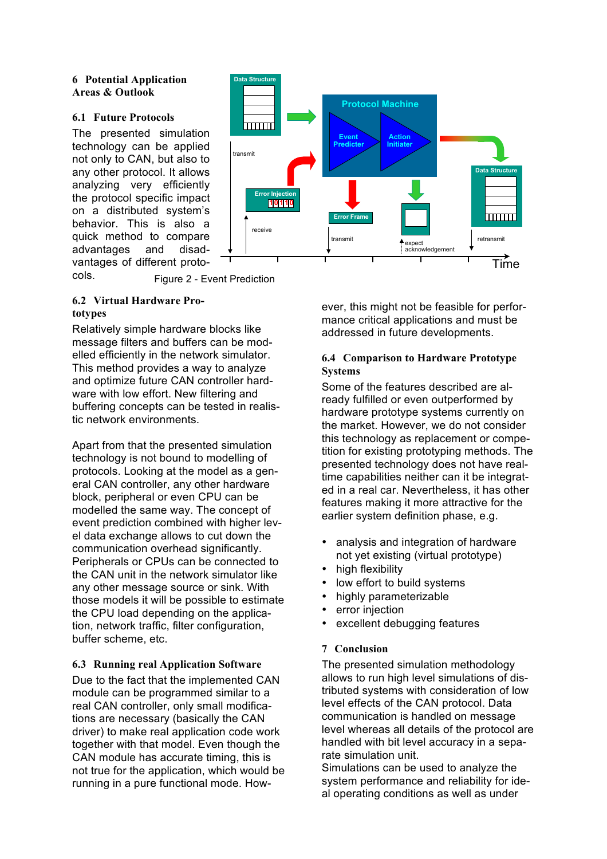#### **6 Potential Application Areas & Outlook**

#### **6.1 Future Protocols**

The presented simulation technology can be applied not only to CAN, but also to any other protocol. It allows analyzing very efficiently the protocol specific impact on a distributed system's behavior. This is also a quick method to compare advantages and disadvantages of different proto-



cols. Figure 2 - Event Prediction

# **6.2 Virtual Hardware Prototypes**

Relatively simple hardware blocks like message filters and buffers can be modelled efficiently in the network simulator. This method provides a way to analyze and optimize future CAN controller hardware with low effort. New filtering and buffering concepts can be tested in realistic network environments.

Apart from that the presented simulation technology is not bound to modelling of protocols. Looking at the model as a general CAN controller, any other hardware block, peripheral or even CPU can be modelled the same way. The concept of event prediction combined with higher level data exchange allows to cut down the communication overhead significantly. Peripherals or CPUs can be connected to the CAN unit in the network simulator like any other message source or sink. With those models it will be possible to estimate the CPU load depending on the application, network traffic, filter configuration, buffer scheme, etc.

# **6.3 Running real Application Software**

Due to the fact that the implemented CAN module can be programmed similar to a real CAN controller, only small modifications are necessary (basically the CAN driver) to make real application code work together with that model. Even though the CAN module has accurate timing, this is not true for the application, which would be running in a pure functional mode. However, this might not be feasible for performance critical applications and must be addressed in future developments.

# **6.4 Comparison to Hardware Prototype Systems**

Some of the features described are already fulfilled or even outperformed by hardware prototype systems currently on the market. However, we do not consider this technology as replacement or competition for existing prototyping methods. The presented technology does not have realtime capabilities neither can it be integrated in a real car. Nevertheless, it has other features making it more attractive for the earlier system definition phase, e.g.

- analysis and integration of hardware not yet existing (virtual prototype)
- high flexibility
- low effort to build systems
- highly parameterizable
- error injection
- excellent debugging features

# **7 Conclusion**

The presented simulation methodology allows to run high level simulations of distributed systems with consideration of low level effects of the CAN protocol. Data communication is handled on message level whereas all details of the protocol are handled with bit level accuracy in a separate simulation unit.

Simulations can be used to analyze the system performance and reliability for ideal operating conditions as well as under